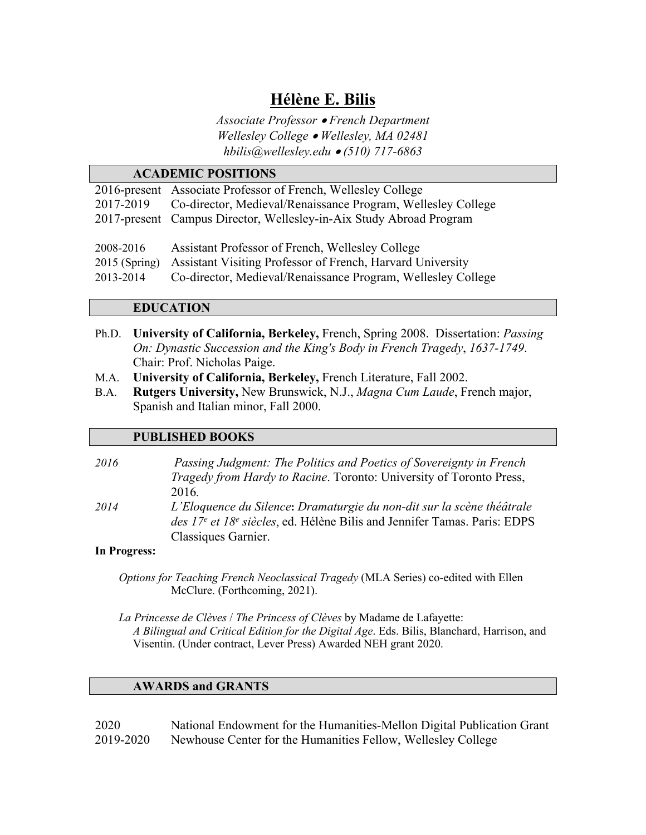## **Hélène E. Bilis**

*Associate Professor* • *French Department Wellesley College* • *Wellesley, MA 02481 hbilis@wellesley.edu* • *(510) 717-6863*

# **ACADEMIC POSITIONS**

|                 | 2016-present Associate Professor of French, Wellesley College       |
|-----------------|---------------------------------------------------------------------|
| 2017-2019       | Co-director, Medieval/Renaissance Program, Wellesley College        |
|                 | 2017-present Campus Director, Wellesley-in-Aix Study Abroad Program |
| 2008-2016       | Assistant Professor of French, Wellesley College                    |
| $2015$ (Spring) | Assistant Visiting Professor of French, Harvard University          |
| 2013-2014       | Co-director, Medieval/Renaissance Program, Wellesley College        |

### **EDUCATION**

- Ph.D. **University of California, Berkeley,** French, Spring 2008. Dissertation: *Passing On: Dynastic Succession and the King's Body in French Tragedy*, *1637-1749*. Chair: Prof. Nicholas Paige.
- M.A. **University of California, Berkeley,** French Literature, Fall 2002.
- B.A. **Rutgers University,** New Brunswick, N.J., *Magna Cum Laude*, French major, Spanish and Italian minor, Fall 2000.

#### **PUBLISHED BOOKS**

- *2016 Passing Judgment: The Politics and Poetics of Sovereignty in French Tragedy from Hardy to Racine*. Toronto: University of Toronto Press, 2016*.*
- *2014 L'Eloquence du Silence***:** *Dramaturgie du non-dit sur la scène théâtrale des 17e et 18e siècles*, ed. Hélène Bilis and Jennifer Tamas. Paris: EDPS Classiques Garnier.

#### **In Progress:**

*Options for Teaching French Neoclassical Tragedy* (MLA Series) co-edited with Ellen McClure. (Forthcoming, 2021).

*La Princesse de Clèves* / *The Princess of Clèves* by Madame de Lafayette: *A Bilingual and Critical Edition for the Digital Age*. Eds. Bilis, Blanchard, Harrison, and Visentin. (Under contract, Lever Press) Awarded NEH grant 2020.

#### **AWARDS and GRANTS**

| 2020      | National Endowment for the Humanities-Mellon Digital Publication Grant |
|-----------|------------------------------------------------------------------------|
| 2019-2020 | Newhouse Center for the Humanities Fellow, Wellesley College           |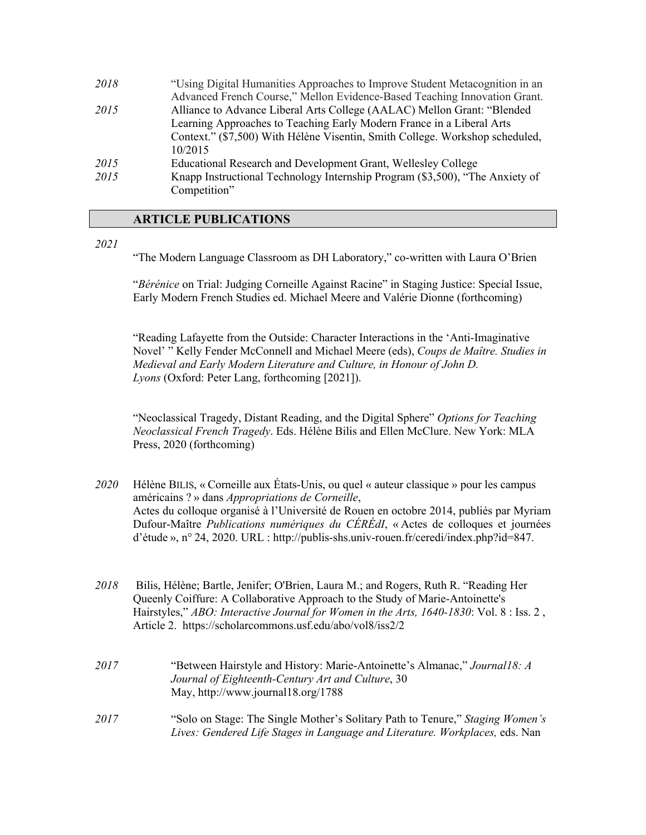| 2018 | "Using Digital Humanities Approaches to Improve Student Metacognition in an  |
|------|------------------------------------------------------------------------------|
|      | Advanced French Course," Mellon Evidence-Based Teaching Innovation Grant.    |
| 2015 | Alliance to Advance Liberal Arts College (AALAC) Mellon Grant: "Blended      |
|      | Learning Approaches to Teaching Early Modern France in a Liberal Arts        |
|      | Context." (\$7,500) With Hélène Visentin, Smith College. Workshop scheduled, |
|      | 10/2015                                                                      |
| 2015 | Educational Research and Development Grant, Wellesley College                |
| 2015 | Knapp Instructional Technology Internship Program (\$3,500), "The Anxiety of |
|      | Competition"                                                                 |

#### **ARTICLE PUBLICATIONS**

*2021*

"The Modern Language Classroom as DH Laboratory," co-written with Laura O'Brien

"*Bérénice* on Trial: Judging Corneille Against Racine" in Staging Justice: Special Issue, Early Modern French Studies ed. Michael Meere and Valérie Dionne (forthcoming)

"Reading Lafayette from the Outside: Character Interactions in the 'Anti-Imaginative Novel' " Kelly Fender McConnell and Michael Meere (eds), *Coups de Maître. Studies in Medieval and Early Modern Literature and Culture, in Honour of John D. Lyons* (Oxford: Peter Lang, forthcoming [2021]).

"Neoclassical Tragedy, Distant Reading, and the Digital Sphere" *Options for Teaching Neoclassical French Tragedy*. Eds. Hélène Bilis and Ellen McClure. New York: MLA Press, 2020 (forthcoming)

- *2020* Hélène BILIS, « Corneille aux États-Unis, ou quel « auteur classique » pour les campus américains ? » dans *Appropriations de Corneille*, Actes du colloque organisé à l'Université de Rouen en octobre 2014, publiés par Myriam Dufour-Maître *Publications numériques du CÉRÉdI*, « Actes de colloques et journées d'étude », n° 24, 2020. URL : http://publis-shs.univ-rouen.fr/ceredi/index.php?id=847.
- *2018* Bilis, Hélène; Bartle, Jenifer; O'Brien, Laura M.; and Rogers, Ruth R. "Reading Her Queenly Coiffure: A Collaborative Approach to the Study of Marie-Antoinette's Hairstyles," *ABO: Interactive Journal for Women in the Arts, 1640-1830*: Vol. 8 : Iss. 2 , Article 2. https://scholarcommons.usf.edu/abo/vol8/iss2/2
- *2017* "Between Hairstyle and History: Marie-Antoinette's Almanac," *Journal18: A Journal of Eighteenth-Century Art and Culture*, 30 May, http://www.journal18.org/1788
- *2017* "Solo on Stage: The Single Mother's Solitary Path to Tenure," *Staging Women's Lives: Gendered Life Stages in Language and Literature. Workplaces,* eds. Nan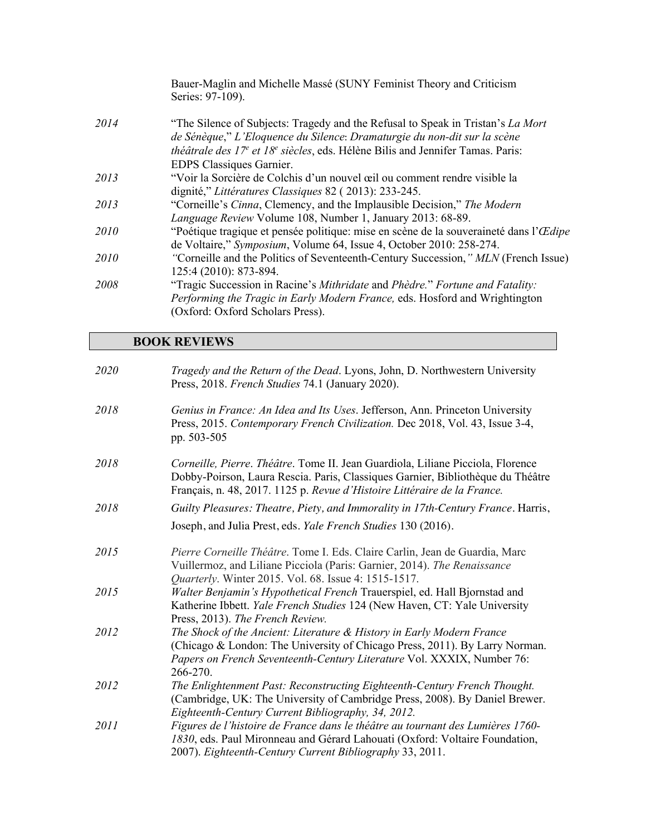|             | Bauer-Maglin and Michelle Massé (SUNY Feminist Theory and Criticism<br>Series: 97-109).                                                                     |
|-------------|-------------------------------------------------------------------------------------------------------------------------------------------------------------|
| 2014        | "The Silence of Subjects: Tragedy and the Refusal to Speak in Tristan's La Mort<br>de Sénèque," L'Eloquence du Silence: Dramaturgie du non-dit sur la scène |
|             | théâtrale des $17^e$ et $18^e$ siècles, eds. Hélène Bilis and Jennifer Tamas. Paris:                                                                        |
|             | EDPS Classiques Garnier.                                                                                                                                    |
| 2013        | "Voir la Sorcière de Colchis d'un nouvel œil ou comment rendre visible la                                                                                   |
|             | dignité," Littératures Classiques 82 (2013): 233-245.                                                                                                       |
| 2013        | "Corneille's Cinna, Clemency, and the Implausible Decision," The Modern                                                                                     |
|             | Language Review Volume 108, Number 1, January 2013: 68-89.                                                                                                  |
| 2010        | "Poétique tragique et pensée politique: mise en scène de la souveraineté dans l'Œdipe                                                                       |
|             | de Voltaire," Symposium, Volume 64, Issue 4, October 2010: 258-274.                                                                                         |
| <i>2010</i> | "Corneille and the Politics of Seventeenth-Century Succession," MLN (French Issue)                                                                          |
|             | 125:4 (2010): 873-894.                                                                                                                                      |
| 2008        | "Tragic Succession in Racine's Mithridate and Phèdre." Fortune and Fatality:                                                                                |
|             | Performing the Tragic in Early Modern France, eds. Hosford and Wrightington                                                                                 |
|             | (Oxford: Oxford Scholars Press).                                                                                                                            |
|             |                                                                                                                                                             |

## **BOOK REVIEWS**

| 2020 | Tragedy and the Return of the Dead. Lyons, John, D. Northwestern University<br>Press, 2018. French Studies 74.1 (January 2020).                                                                                                                |
|------|------------------------------------------------------------------------------------------------------------------------------------------------------------------------------------------------------------------------------------------------|
| 2018 | Genius in France: An Idea and Its Uses. Jefferson, Ann. Princeton University<br>Press, 2015. Contemporary French Civilization. Dec 2018, Vol. 43, Issue 3-4,<br>pp. 503-505                                                                    |
| 2018 | Corneille, Pierre. Théâtre. Tome II. Jean Guardiola, Liliane Picciola, Florence<br>Dobby-Poirson, Laura Rescia. Paris, Classiques Garnier, Bibliothèque du Théâtre<br>Français, n. 48, 2017. 1125 p. Revue d'Histoire Littéraire de la France. |
| 2018 | Guilty Pleasures: Theatre, Piety, and Immorality in 17th-Century France. Harris,                                                                                                                                                               |
|      | Joseph, and Julia Prest, eds. Yale French Studies 130 (2016).                                                                                                                                                                                  |
| 2015 | Pierre Corneille Théâtre. Tome I. Eds. Claire Carlin, Jean de Guardia, Marc<br>Vuillermoz, and Liliane Picciola (Paris: Garnier, 2014). The Renaissance<br>Quarterly. Winter 2015. Vol. 68. Issue 4: 1515-1517.                                |
| 2015 | Walter Benjamin's Hypothetical French Trauerspiel, ed. Hall Bjornstad and<br>Katherine Ibbett. Yale French Studies 124 (New Haven, CT: Yale University<br>Press, 2013). The French Review.                                                     |
| 2012 | The Shock of the Ancient: Literature & History in Early Modern France<br>(Chicago & London: The University of Chicago Press, 2011). By Larry Norman.<br>Papers on French Seventeenth-Century Literature Vol. XXXIX, Number 76:<br>266-270.     |
| 2012 | The Enlightenment Past: Reconstructing Eighteenth-Century French Thought.<br>(Cambridge, UK: The University of Cambridge Press, 2008). By Daniel Brewer.<br>Eighteenth-Century Current Bibliography, 34, 2012.                                 |
| 2011 | Figures de l'histoire de France dans le théâtre au tournant des Lumières 1760-<br>1830, eds. Paul Mironneau and Gérard Lahouati (Oxford: Voltaire Foundation,<br>2007). Eighteenth-Century Current Bibliography 33, 2011.                      |